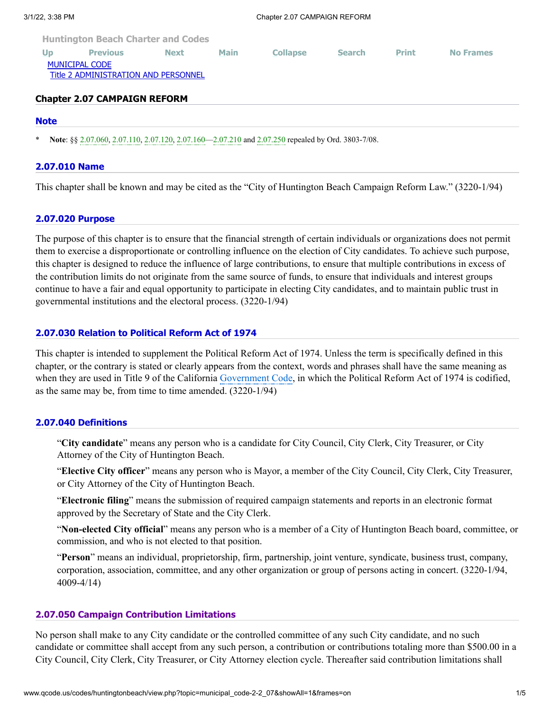| <b>Up</b>                            | <b>Previous</b> | <b>Next</b> | <b>Main</b> | <b>Collapse</b> | <b>Search</b> | <b>Print</b> | <b>No Frames</b> |
|--------------------------------------|-----------------|-------------|-------------|-----------------|---------------|--------------|------------------|
| <b>MUNICIPAL CODE</b>                |                 |             |             |                 |               |              |                  |
| Title 2 ADMINISTRATION AND PERSONNEL |                 |             |             |                 |               |              |                  |
|                                      |                 |             |             |                 |               |              |                  |

## **Chapter 2.07 CAMPAIGN REFORM**

#### **[Note](http://www.qcode.us/codes/huntingtonbeach/view.php?topic=municipal_code-2-2_07-note&frames=on)**

Note: §§ [2.07.060](http://www.qcode.us/codes/huntingtonbeach/view.php?cite=_2.07.060&confidence=5), [2.07.110](http://www.qcode.us/codes/huntingtonbeach/view.php?cite=_2.07.110&confidence=5), [2.07.120](http://www.qcode.us/codes/huntingtonbeach/view.php?cite=_2.07.120&confidence=5), [2.07.160](http://www.qcode.us/codes/huntingtonbeach/view.php?cite=_2.07.160&confidence=5)[—2.07.210](http://www.qcode.us/codes/huntingtonbeach/view.php?cite=_2.07.210&confidence=5) and [2.07.250](http://www.qcode.us/codes/huntingtonbeach/view.php?cite=_2.07.250&confidence=5) repealed by Ord. 3803-7/08.

#### **[2.07.010 Name](http://www.qcode.us/codes/huntingtonbeach/view.php?topic=municipal_code-2-2_07-2_07_010&frames=on)**

This chapter shall be known and may be cited as the "City of Huntington Beach Campaign Reform Law." (3220-1/94)

### **[2.07.020 Purpose](http://www.qcode.us/codes/huntingtonbeach/view.php?topic=municipal_code-2-2_07-2_07_020&frames=on)**

The purpose of this chapter is to ensure that the financial strength of certain individuals or organizations does not permit them to exercise a disproportionate or controlling influence on the election of City candidates. To achieve such purpose, this chapter is designed to reduce the influence of large contributions, to ensure that multiple contributions in excess of the contribution limits do not originate from the same source of funds, to ensure that individuals and interest groups continue to have a fair and equal opportunity to participate in electing City candidates, and to maintain public trust in governmental institutions and the electoral process. (3220-1/94)

### **[2.07.030 Relation to Political Reform Act of 1974](http://www.qcode.us/codes/huntingtonbeach/view.php?topic=municipal_code-2-2_07-2_07_030&frames=on)**

This chapter is intended to supplement the Political Reform Act of 1974. Unless the term is specifically defined in this chapter, or the contrary is stated or clearly appears from the context, words and phrases shall have the same meaning as when they are used in Title 9 of the California [Government](http://www.qcode.us/codes/othercode.php?state=ca&code=gov) Code, in which the Political Reform Act of 1974 is codified, as the same may be, from time to time amended. (3220-1/94)

## **[2.07.040 Definitions](http://www.qcode.us/codes/huntingtonbeach/view.php?topic=municipal_code-2-2_07-2_07_040&frames=on)**

"**City candidate**" means any person who is a candidate for City Council, City Clerk, City Treasurer, or City Attorney of the City of Huntington Beach.

"**Elective City officer**" means any person who is Mayor, a member of the City Council, City Clerk, City Treasurer, or City Attorney of the City of Huntington Beach.

"**Electronic filing**" means the submission of required campaign statements and reports in an electronic format approved by the Secretary of State and the City Clerk.

"**Non-elected City official**" means any person who is a member of a City of Huntington Beach board, committee, or commission, and who is not elected to that position.

"**Person**" means an individual, proprietorship, firm, partnership, joint venture, syndicate, business trust, company, corporation, association, committee, and any other organization or group of persons acting in concert. (3220-1/94, 4009-4/14)

#### **[2.07.050 Campaign Contribution Limitations](http://www.qcode.us/codes/huntingtonbeach/view.php?topic=municipal_code-2-2_07-2_07_050&frames=on)**

No person shall make to any City candidate or the controlled committee of any such City candidate, and no such candidate or committee shall accept from any such person, a contribution or contributions totaling more than \$500.00 in a City Council, City Clerk, City Treasurer, or City Attorney election cycle. Thereafter said contribution limitations shall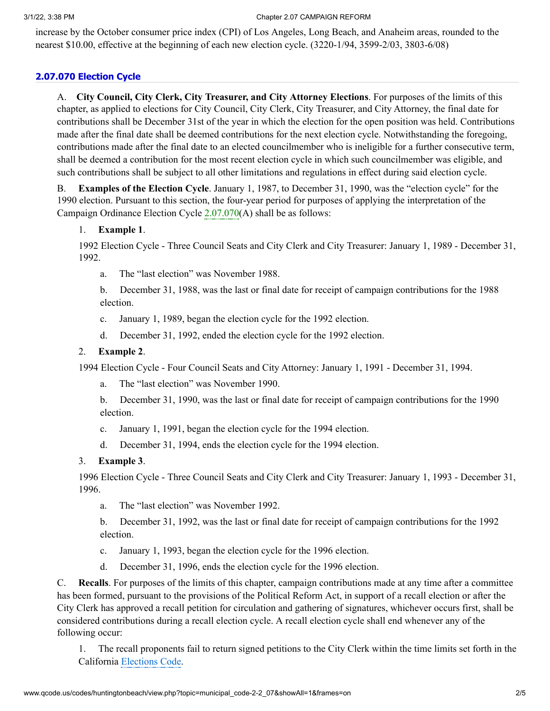#### 3/1/22, 3:38 PM Chapter 2.07 CAMPAIGN REFORM

increase by the October consumer price index (CPI) of Los Angeles, Long Beach, and Anaheim areas, rounded to the nearest \$10.00, effective at the beginning of each new election cycle. (3220-1/94, 3599-2/03, 3803-6/08)

# **[2.07.070 Election Cycle](http://www.qcode.us/codes/huntingtonbeach/view.php?topic=municipal_code-2-2_07-2_07_070&frames=on)**

A. **City Council, City Clerk, City Treasurer, and City Attorney Elections**. For purposes of the limits of this chapter, as applied to elections for City Council, City Clerk, City Treasurer, and City Attorney, the final date for contributions shall be December 31st of the year in which the election for the open position was held. Contributions made after the final date shall be deemed contributions for the next election cycle. Notwithstanding the foregoing, contributions made after the final date to an elected councilmember who is ineligible for a further consecutive term, shall be deemed a contribution for the most recent election cycle in which such councilmember was eligible, and such contributions shall be subject to all other limitations and regulations in effect during said election cycle.

B. **Examples of the Election Cycle**. January 1, 1987, to December 31, 1990, was the "election cycle" for the 1990 election. Pursuant to this section, the four-year period for purposes of applying the interpretation of the Campaign Ordinance Election Cycle [2.07.070](http://www.qcode.us/codes/huntingtonbeach/view.php?cite=_2.07.070&confidence=5)(A) shall be as follows:

## 1. **Example 1**.

1992 Election Cycle - Three Council Seats and City Clerk and City Treasurer: January 1, 1989 - December 31, 1992.

a. The "last election" was November 1988.

b. December 31, 1988, was the last or final date for receipt of campaign contributions for the 1988 election.

- c. January 1, 1989, began the election cycle for the 1992 election.
- d. December 31, 1992, ended the election cycle for the 1992 election.

## 2. **Example 2**.

1994 Election Cycle - Four Council Seats and City Attorney: January 1, 1991 - December 31, 1994.

a. The "last election" was November 1990.

b. December 31, 1990, was the last or final date for receipt of campaign contributions for the 1990 election.

- c. January 1, 1991, began the election cycle for the 1994 election.
- d. December 31, 1994, ends the election cycle for the 1994 election.

# 3. **Example 3**.

1996 Election Cycle - Three Council Seats and City Clerk and City Treasurer: January 1, 1993 - December 31, 1996.

a. The "last election" was November 1992.

b. December 31, 1992, was the last or final date for receipt of campaign contributions for the 1992 election.

- c. January 1, 1993, began the election cycle for the 1996 election.
- d. December 31, 1996, ends the election cycle for the 1996 election.

C. **Recalls**. For purposes of the limits of this chapter, campaign contributions made at any time after a committee has been formed, pursuant to the provisions of the Political Reform Act, in support of a recall election or after the City Clerk has approved a recall petition for circulation and gathering of signatures, whichever occurs first, shall be considered contributions during a recall election cycle. A recall election cycle shall end whenever any of the following occur:

1. The recall proponents fail to return signed petitions to the City Clerk within the time limits set forth in the California [Elections](http://www.qcode.us/codes/othercode.php?state=ca&code=ele) Code.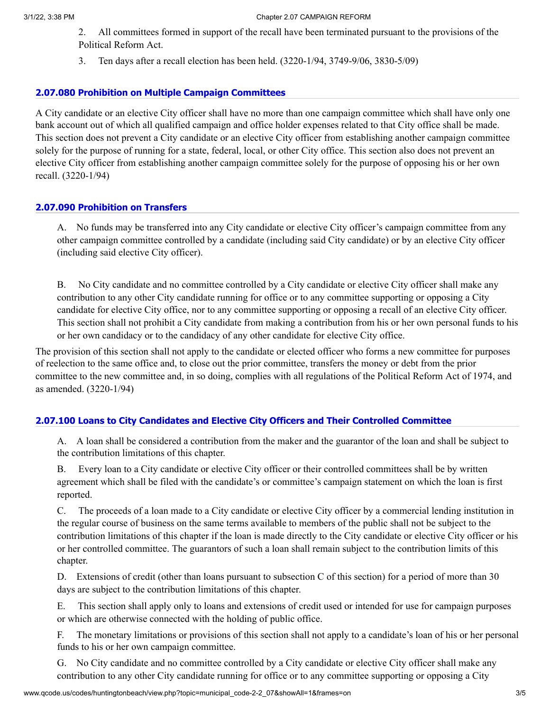- 2. All committees formed in support of the recall have been terminated pursuant to the provisions of the Political Reform Act.
- 3. Ten days after a recall election has been held. (3220-1/94, 3749-9/06, 3830-5/09)

### **[2.07.080 Prohibition on Multiple Campaign Committees](http://www.qcode.us/codes/huntingtonbeach/view.php?topic=municipal_code-2-2_07-2_07_080&frames=on)**

A City candidate or an elective City officer shall have no more than one campaign committee which shall have only one bank account out of which all qualified campaign and office holder expenses related to that City office shall be made. This section does not prevent a City candidate or an elective City officer from establishing another campaign committee solely for the purpose of running for a state, federal, local, or other City office. This section also does not prevent an elective City officer from establishing another campaign committee solely for the purpose of opposing his or her own recall. (3220-1/94)

## **[2.07.090 Prohibition on Transfers](http://www.qcode.us/codes/huntingtonbeach/view.php?topic=municipal_code-2-2_07-2_07_090&frames=on)**

A. No funds may be transferred into any City candidate or elective City officer's campaign committee from any other campaign committee controlled by a candidate (including said City candidate) or by an elective City officer (including said elective City officer).

B. No City candidate and no committee controlled by a City candidate or elective City officer shall make any contribution to any other City candidate running for office or to any committee supporting or opposing a City candidate for elective City office, nor to any committee supporting or opposing a recall of an elective City officer. This section shall not prohibit a City candidate from making a contribution from his or her own personal funds to his or her own candidacy or to the candidacy of any other candidate for elective City office.

The provision of this section shall not apply to the candidate or elected officer who forms a new committee for purposes of reelection to the same office and, to close out the prior committee, transfers the money or debt from the prior committee to the new committee and, in so doing, complies with all regulations of the Political Reform Act of 1974, and as amended. (3220-1/94)

#### **[2.07.100 Loans to City Candidates and Elective City Officers and Their Controlled Committee](http://www.qcode.us/codes/huntingtonbeach/view.php?topic=municipal_code-2-2_07-2_07_100&frames=on)**

A. A loan shall be considered a contribution from the maker and the guarantor of the loan and shall be subject to the contribution limitations of this chapter.

B. Every loan to a City candidate or elective City officer or their controlled committees shall be by written agreement which shall be filed with the candidate's or committee's campaign statement on which the loan is first reported.

C. The proceeds of a loan made to a City candidate or elective City officer by a commercial lending institution in the regular course of business on the same terms available to members of the public shall not be subject to the contribution limitations of this chapter if the loan is made directly to the City candidate or elective City officer or his or her controlled committee. The guarantors of such a loan shall remain subject to the contribution limits of this chapter.

D. Extensions of credit (other than loans pursuant to subsection C of this section) for a period of more than 30 days are subject to the contribution limitations of this chapter.

E. This section shall apply only to loans and extensions of credit used or intended for use for campaign purposes or which are otherwise connected with the holding of public office.

F. The monetary limitations or provisions of this section shall not apply to a candidate's loan of his or her personal funds to his or her own campaign committee.

G. No City candidate and no committee controlled by a City candidate or elective City officer shall make any contribution to any other City candidate running for office or to any committee supporting or opposing a City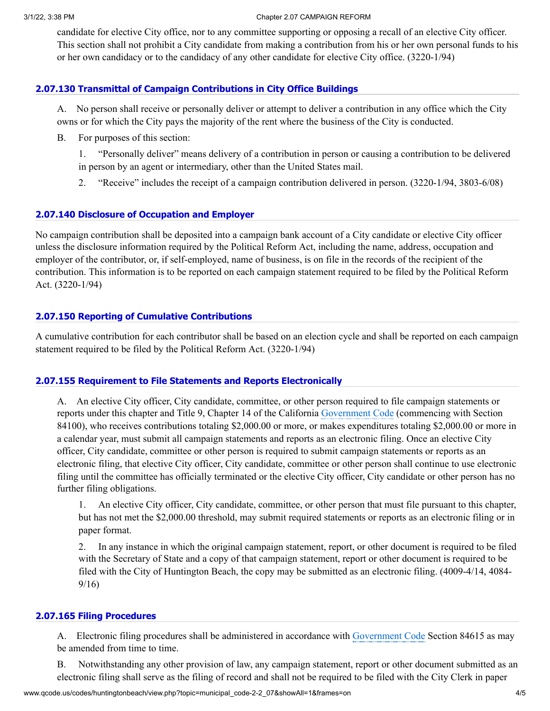#### 3/1/22, 3:38 PM Chapter 2.07 CAMPAIGN REFORM

candidate for elective City office, nor to any committee supporting or opposing a recall of an elective City officer. This section shall not prohibit a City candidate from making a contribution from his or her own personal funds to his or her own candidacy or to the candidacy of any other candidate for elective City office. (3220-1/94)

## **[2.07.130 Transmittal of Campaign Contributions in City Office Buildings](http://www.qcode.us/codes/huntingtonbeach/view.php?topic=municipal_code-2-2_07-2_07_130&frames=on)**

A. No person shall receive or personally deliver or attempt to deliver a contribution in any office which the City owns or for which the City pays the majority of the rent where the business of the City is conducted.

- B. For purposes of this section:
	- 1. "Personally deliver" means delivery of a contribution in person or causing a contribution to be delivered in person by an agent or intermediary, other than the United States mail.
	- 2. "Receive" includes the receipt of a campaign contribution delivered in person. (3220-1/94, 3803-6/08)

## **[2.07.140 Disclosure of Occupation and Employer](http://www.qcode.us/codes/huntingtonbeach/view.php?topic=municipal_code-2-2_07-2_07_140&frames=on)**

No campaign contribution shall be deposited into a campaign bank account of a City candidate or elective City officer unless the disclosure information required by the Political Reform Act, including the name, address, occupation and employer of the contributor, or, if self-employed, name of business, is on file in the records of the recipient of the contribution. This information is to be reported on each campaign statement required to be filed by the Political Reform Act. (3220-1/94)

## **[2.07.150 Reporting of Cumulative Contributions](http://www.qcode.us/codes/huntingtonbeach/view.php?topic=municipal_code-2-2_07-2_07_150&frames=on)**

A cumulative contribution for each contributor shall be based on an election cycle and shall be reported on each campaign statement required to be filed by the Political Reform Act. (3220-1/94)

## **[2.07.155 Requirement to File Statements and Reports Electronically](http://www.qcode.us/codes/huntingtonbeach/view.php?topic=municipal_code-2-2_07-2_07_155&frames=on)**

A. An elective City officer, City candidate, committee, or other person required to file campaign statements or reports under this chapter and Title 9, Chapter 14 of the California [Government](http://www.qcode.us/codes/othercode.php?state=ca&code=gov) Code (commencing with Section 84100), who receives contributions totaling \$2,000.00 or more, or makes expenditures totaling \$2,000.00 or more in a calendar year, must submit all campaign statements and reports as an electronic filing. Once an elective City officer, City candidate, committee or other person is required to submit campaign statements or reports as an electronic filing, that elective City officer, City candidate, committee or other person shall continue to use electronic filing until the committee has officially terminated or the elective City officer, City candidate or other person has no further filing obligations.

1. An elective City officer, City candidate, committee, or other person that must file pursuant to this chapter, but has not met the \$2,000.00 threshold, may submit required statements or reports as an electronic filing or in paper format.

2. In any instance in which the original campaign statement, report, or other document is required to be filed with the Secretary of State and a copy of that campaign statement, report or other document is required to be filed with the City of Huntington Beach, the copy may be submitted as an electronic filing. (4009-4/14, 4084- 9/16)

## **[2.07.165 Filing Procedures](http://www.qcode.us/codes/huntingtonbeach/view.php?topic=municipal_code-2-2_07-2_07_165&frames=on)**

A. Electronic filing procedures shall be administered in accordance with [Government](http://www.qcode.us/codes/othercode.php?state=ca&code=gov) Code Section 84615 as may be amended from time to time.

B. Notwithstanding any other provision of law, any campaign statement, report or other document submitted as an electronic filing shall serve as the filing of record and shall not be required to be filed with the City Clerk in paper